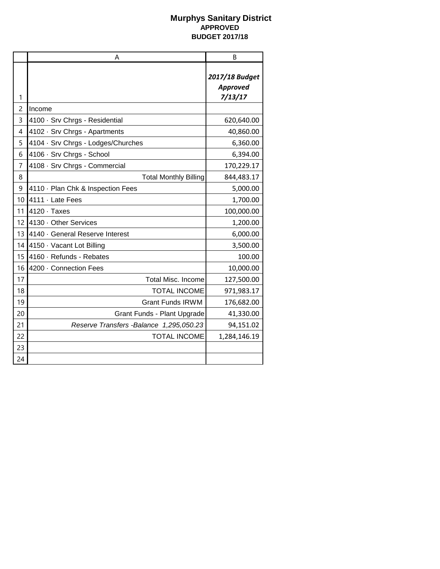|    | A                                        | B                                     |
|----|------------------------------------------|---------------------------------------|
| 1  |                                          | 2017/18 Budget<br>Approved<br>7/13/17 |
| 2  | Income                                   |                                       |
| 3  | 4100 · Srv Chrgs - Residential           | 620,640.00                            |
| 4  | 4102 · Srv Chrgs - Apartments            | 40,860.00                             |
| 5  | 4104 · Srv Chrgs - Lodges/Churches       | 6,360.00                              |
| 6  | 4106 · Srv Chrgs - School                | 6,394.00                              |
| 7  | 4108 · Srv Chrgs - Commercial            | 170,229.17                            |
| 8  | <b>Total Monthly Billing</b>             | 844,483.17                            |
| 9  | 4110 · Plan Chk & Inspection Fees        | 5,000.00                              |
| 10 | 4111 · Late Fees                         | 1,700.00                              |
| 11 | $4120 \cdot$ Taxes                       | 100,000.00                            |
| 12 | 4130 Other Services                      | 1,200.00                              |
| 13 | 4140 · General Reserve Interest          | 6,000.00                              |
| 14 | 4150 · Vacant Lot Billing                | 3,500.00                              |
| 15 | 4160 · Refunds - Rebates                 | 100.00                                |
| 16 | 4200 · Connection Fees                   | 10,000.00                             |
| 17 | Total Misc. Income                       | 127,500.00                            |
| 18 | <b>TOTAL INCOME</b>                      | 971,983.17                            |
| 19 | <b>Grant Funds IRWM</b>                  | 176,682.00                            |
| 20 | Grant Funds - Plant Upgrade              | 41,330.00                             |
| 21 | Reserve Transfers - Balance 1,295,050.23 | 94,151.02                             |
| 22 | <b>TOTAL INCOME</b>                      | 1,284,146.19                          |
| 23 |                                          |                                       |
| 24 |                                          |                                       |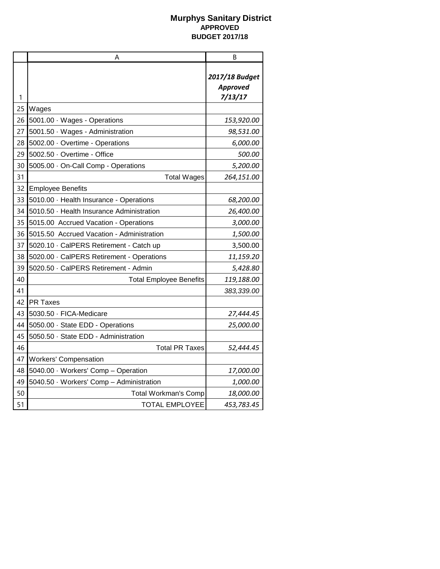|    | A                                         | B                                            |
|----|-------------------------------------------|----------------------------------------------|
| 1  |                                           | 2017/18 Budget<br><b>Approved</b><br>7/13/17 |
| 25 | Wages                                     |                                              |
| 26 | 5001.00 · Wages - Operations              | 153,920.00                                   |
| 27 | 5001.50 Wages - Administration            | 98,531.00                                    |
| 28 | 5002.00 · Overtime - Operations           | 6,000.00                                     |
| 29 | 5002.50 Overtime - Office                 | 500.00                                       |
| 30 | 5005.00 · On-Call Comp - Operations       | 5,200.00                                     |
| 31 | <b>Total Wages</b>                        | 264,151.00                                   |
| 32 | <b>Employee Benefits</b>                  |                                              |
| 33 | 5010.00 · Health Insurance - Operations   | 68,200.00                                    |
| 34 | 5010.50 · Health Insurance Administration | 26,400.00                                    |
| 35 | 5015.00 Accrued Vacation - Operations     | 3,000.00                                     |
| 36 | 5015.50 Accrued Vacation - Administration | 1,500.00                                     |
| 37 | 5020.10 · CalPERS Retirement - Catch up   | 3,500.00                                     |
| 38 | 5020.00 · CalPERS Retirement - Operations | 11,159.20                                    |
| 39 | 5020.50 · CalPERS Retirement - Admin      | 5,428.80                                     |
| 40 | <b>Total Employee Benefits</b>            | 119,188.00                                   |
| 41 |                                           | 383,339.00                                   |
| 42 | <b>PR Taxes</b>                           |                                              |
| 43 | 5030.50 · FICA-Medicare                   | 27,444.45                                    |
| 44 | 5050.00 · State EDD - Operations          | 25,000.00                                    |
| 45 | 5050.50 · State EDD - Administration      |                                              |
| 46 | <b>Total PR Taxes</b>                     | 52,444.45                                    |
| 47 | <b>Workers' Compensation</b>              |                                              |
| 48 | 5040.00 Workers' Comp - Operation         | 17,000.00                                    |
| 49 | 5040.50 · Workers' Comp - Administration  | 1,000.00                                     |
| 50 | <b>Total Workman's Comp</b>               | <i>18,000.00</i>                             |
| 51 | <b>TOTAL EMPLOYEE</b>                     | 453,783.45                                   |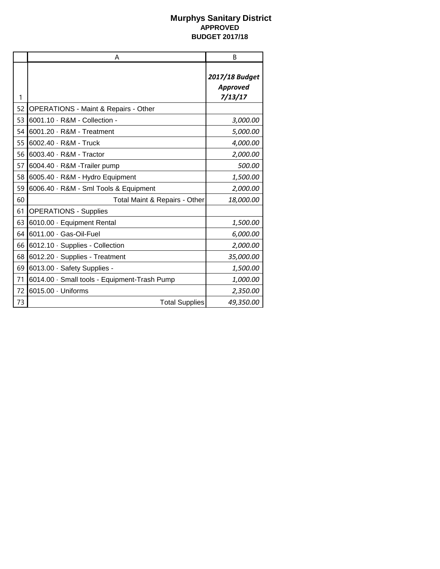|    | A                                               | B                                     |
|----|-------------------------------------------------|---------------------------------------|
| 1  |                                                 | 2017/18 Budget<br>Approved<br>7/13/17 |
| 52 | <b>OPERATIONS - Maint &amp; Repairs - Other</b> |                                       |
| 53 | 6001.10 · R&M - Collection -                    | 3,000.00                              |
| 54 | 6001.20 · R&M - Treatment                       | 5,000.00                              |
| 55 | 6002.40 · R&M - Truck                           | 4,000.00                              |
| 56 | 6003.40 · R&M - Tractor                         | 2,000.00                              |
| 57 | 6004.40 · R&M -Trailer pump                     | 500.00                                |
| 58 | 6005.40 · R&M - Hydro Equipment                 | 1,500.00                              |
| 59 | 6006.40 · R&M - Sml Tools & Equipment           | 2,000.00                              |
| 60 | Total Maint & Repairs - Other                   | 18,000.00                             |
| 61 | <b>OPERATIONS - Supplies</b>                    |                                       |
| 63 | 6010.00 · Equipment Rental                      | 1,500.00                              |
| 64 | 6011.00 · Gas-Oil-Fuel                          | 6,000.00                              |
| 66 | 6012.10 · Supplies - Collection                 | 2,000.00                              |
| 68 | 6012.20 · Supplies - Treatment                  | 35,000.00                             |
| 69 | 6013.00 Safety Supplies -                       | 1,500.00                              |
| 71 | 6014.00 · Small tools - Equipment-Trash Pump    | 1,000.00                              |
| 72 | 6015.00 · Uniforms                              | 2,350.00                              |
| 73 | <b>Total Supplies</b>                           | 49,350.00                             |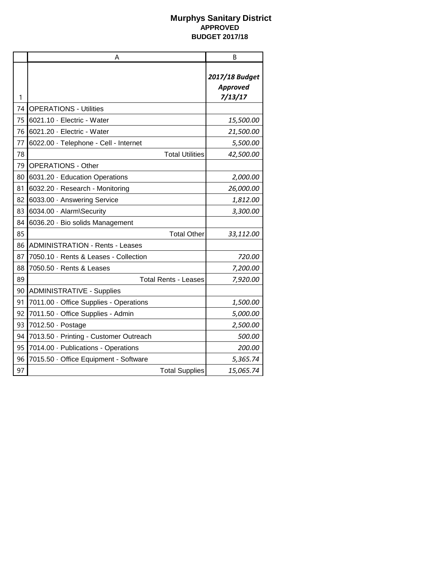|    | A                                      | В                                            |
|----|----------------------------------------|----------------------------------------------|
| 1  |                                        | 2017/18 Budget<br><b>Approved</b><br>7/13/17 |
| 74 | <b>OPERATIONS - Utilities</b>          |                                              |
| 75 | 6021.10 · Electric - Water             | 15,500.00                                    |
| 76 | 6021.20 · Electric - Water             | 21,500.00                                    |
| 77 | 6022.00 · Telephone - Cell - Internet  | 5,500.00                                     |
| 78 | <b>Total Utilities</b>                 | 42,500.00                                    |
| 79 | <b>OPERATIONS - Other</b>              |                                              |
| 80 | 6031.20 · Education Operations         | 2,000.00                                     |
| 81 | 6032.20 · Research - Monitoring        | 26,000.00                                    |
| 82 | 6033.00 Answering Service              | 1,812.00                                     |
| 83 | 6034.00 · Alarm\Security               | 3,300.00                                     |
| 84 | 6036.20 · Bio solids Management        |                                              |
| 85 | <b>Total Other</b>                     | 33,112.00                                    |
| 86 | <b>ADMINISTRATION - Rents - Leases</b> |                                              |
| 87 | 7050.10 · Rents & Leases - Collection  | 720.00                                       |
| 88 | 7050.50 · Rents & Leases               | 7,200.00                                     |
| 89 | <b>Total Rents - Leases</b>            | 7,920.00                                     |
| 90 | <b>ADMINISTRATIVE - Supplies</b>       |                                              |
| 91 | 7011.00 Office Supplies - Operations   | 1,500.00                                     |
| 92 | 7011.50 Office Supplies - Admin        | 5,000.00                                     |
| 93 | 7012.50 · Postage                      | 2,500.00                                     |
| 94 | 7013.50 · Printing - Customer Outreach | 500.00                                       |
| 95 | 7014.00 · Publications - Operations    | 200.00                                       |
| 96 | 7015.50 Office Equipment - Software    | 5,365.74                                     |
| 97 | <b>Total Supplies</b>                  | 15,065.74                                    |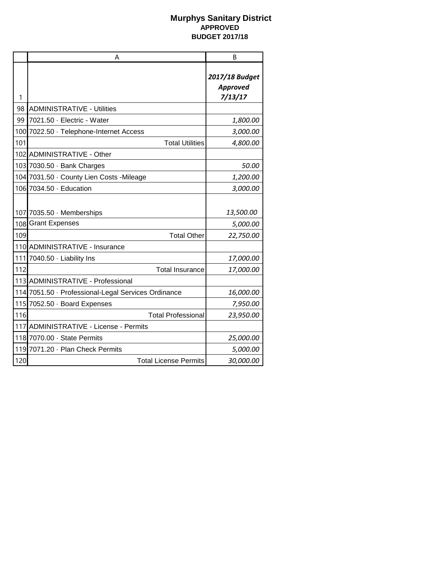|     | A                                                   | B                                     |
|-----|-----------------------------------------------------|---------------------------------------|
| 1   |                                                     | 2017/18 Budget<br>Approved<br>7/13/17 |
| 98  | <b>ADMINISTRATIVE - Utilities</b>                   |                                       |
| 99  | 7021.50 · Electric - Water                          | 1,800.00                              |
|     | 100 7022.50 · Telephone-Internet Access             | 3,000.00                              |
| 101 | <b>Total Utilities</b>                              | 4,800.00                              |
|     | 102 ADMINISTRATIVE - Other                          |                                       |
|     | 103 7030.50 · Bank Charges                          | 50.00                                 |
|     | 104 7031.50 County Lien Costs - Mileage             | 1,200.00                              |
|     | 106 7034.50 · Education                             | 3,000.00                              |
|     | 107 7035.50 Memberships                             | 13,500.00                             |
|     | 108 Grant Expenses                                  | 5,000.00                              |
| 109 | <b>Total Other</b>                                  | 22,750.00                             |
|     | 110 ADMINISTRATIVE - Insurance                      |                                       |
| 111 | 7040.50 · Liability Ins                             | 17,000.00                             |
| 112 | <b>Total Insurance</b>                              | 17,000.00                             |
|     | 113 ADMINISTRATIVE - Professional                   |                                       |
|     | 114 7051.50 · Professional-Legal Services Ordinance | 16,000.00                             |
|     | 115 7052.50 Board Expenses                          | 7,950.00                              |
| 116 | <b>Total Professional</b>                           | 23,950.00                             |
|     | 117 ADMINISTRATIVE - License - Permits              |                                       |
|     | 118 7070.00 State Permits                           | 25,000.00                             |
|     | 119 7071.20 - Plan Check Permits                    | 5,000.00                              |
| 120 | <b>Total License Permits</b>                        | 30,000.00                             |